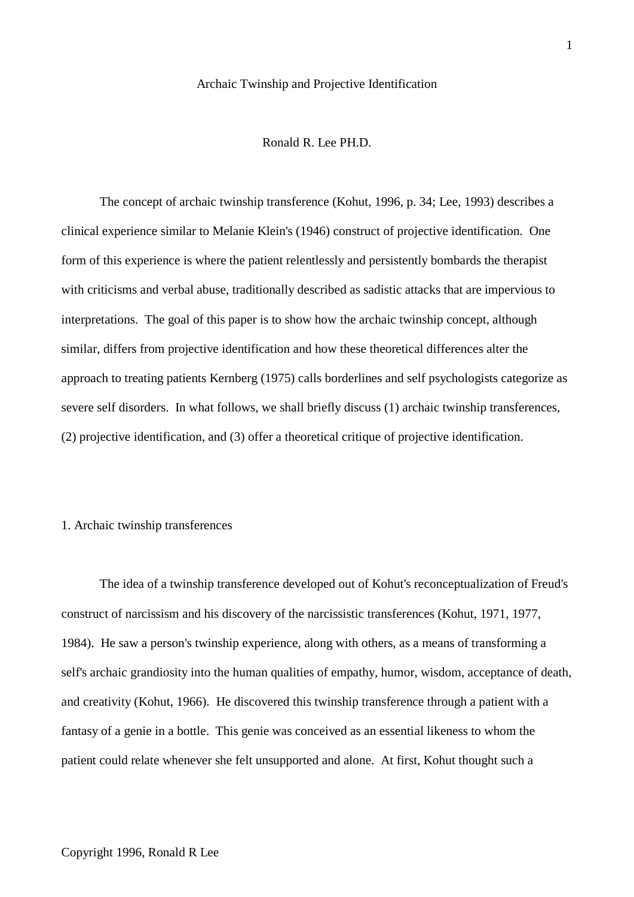#### Archaic Twinship and Projective Identification

Ronald R. Lee PH.D.

The concept of archaic twinship transference (Kohut, 1996, p. 34; Lee, 1993) describes a clinical experience similar to Melanie Klein's (1946) construct of projective identification. One form of this experience is where the patient relentlessly and persistently bombards the therapist with criticisms and verbal abuse, traditionally described as sadistic attacks that are impervious to interpretations. The goal of this paper is to show how the archaic twinship concept, although similar, differs from projective identification and how these theoretical differences alter the approach to treating patients Kernberg (1975) calls borderlines and self psychologists categorize as severe self disorders. In what follows, we shall briefly discuss (1) archaic twinship transferences, (2) projective identification, and (3) offer a theoretical critique of projective identification.

### 1. Archaic twinship transferences

The idea of a twinship transference developed out of Kohut's reconceptualization of Freud's construct of narcissism and his discovery of the narcissistic transferences (Kohut, 1971, 1977, 1984). He saw a person's twinship experience, along with others, as a means of transforming a self's archaic grandiosity into the human qualities of empathy, humor, wisdom, acceptance of death, and creativity (Kohut, 1966). He discovered this twinship transference through a patient with a fantasy of a genie in a bottle. This genie was conceived as an essential likeness to whom the patient could relate whenever she felt unsupported and alone. At first, Kohut thought such a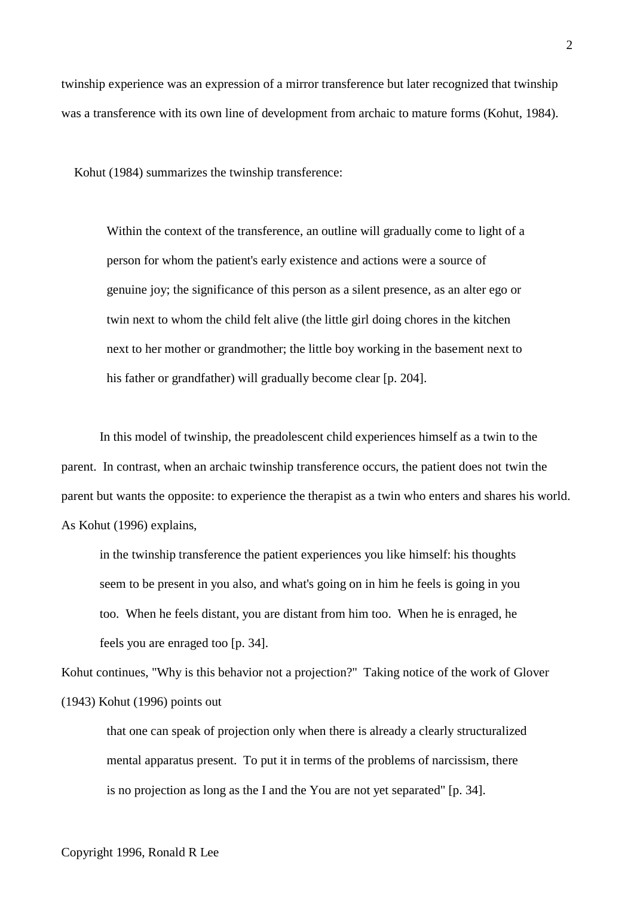twinship experience was an expression of a mirror transference but later recognized that twinship was a transference with its own line of development from archaic to mature forms (Kohut, 1984).

Kohut (1984) summarizes the twinship transference:

Within the context of the transference, an outline will gradually come to light of a person for whom the patient's early existence and actions were a source of genuine joy; the significance of this person as a silent presence, as an alter ego or twin next to whom the child felt alive (the little girl doing chores in the kitchen next to her mother or grandmother; the little boy working in the basement next to his father or grandfather) will gradually become clear [p. 204].

In this model of twinship, the preadolescent child experiences himself as a twin to the parent. In contrast, when an archaic twinship transference occurs, the patient does not twin the parent but wants the opposite: to experience the therapist as a twin who enters and shares his world. As Kohut (1996) explains,

in the twinship transference the patient experiences you like himself: his thoughts seem to be present in you also, and what's going on in him he feels is going in you too. When he feels distant, you are distant from him too. When he is enraged, he feels you are enraged too [p. 34].

Kohut continues, "Why is this behavior not a projection?" Taking notice of the work of Glover (1943) Kohut (1996) points out

that one can speak of projection only when there is already a clearly structuralized mental apparatus present. To put it in terms of the problems of narcissism, there is no projection as long as the I and the You are not yet separated" [p. 34].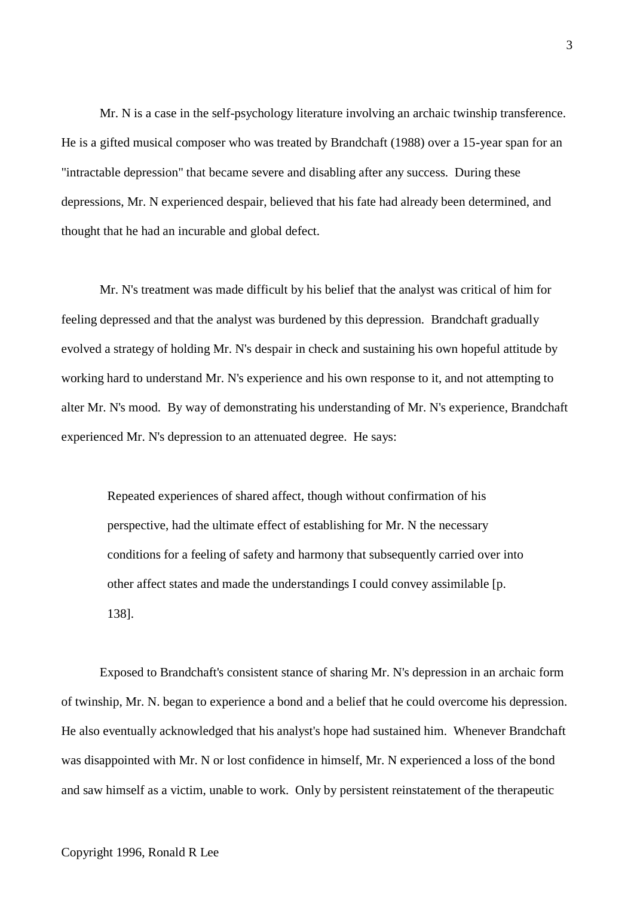Mr. N is a case in the self-psychology literature involving an archaic twinship transference. He is a gifted musical composer who was treated by Brandchaft (1988) over a 15-year span for an "intractable depression" that became severe and disabling after any success. During these depressions, Mr. N experienced despair, believed that his fate had already been determined, and thought that he had an incurable and global defect.

Mr. N's treatment was made difficult by his belief that the analyst was critical of him for feeling depressed and that the analyst was burdened by this depression. Brandchaft gradually evolved a strategy of holding Mr. N's despair in check and sustaining his own hopeful attitude by working hard to understand Mr. N's experience and his own response to it, and not attempting to alter Mr. N's mood. By way of demonstrating his understanding of Mr. N's experience, Brandchaft experienced Mr. N's depression to an attenuated degree. He says:

Repeated experiences of shared affect, though without confirmation of his perspective, had the ultimate effect of establishing for Mr. N the necessary conditions for a feeling of safety and harmony that subsequently carried over into other affect states and made the understandings I could convey assimilable [p. 138].

Exposed to Brandchaft's consistent stance of sharing Mr. N's depression in an archaic form of twinship, Mr. N. began to experience a bond and a belief that he could overcome his depression. He also eventually acknowledged that his analyst's hope had sustained him. Whenever Brandchaft was disappointed with Mr. N or lost confidence in himself, Mr. N experienced a loss of the bond and saw himself as a victim, unable to work. Only by persistent reinstatement of the therapeutic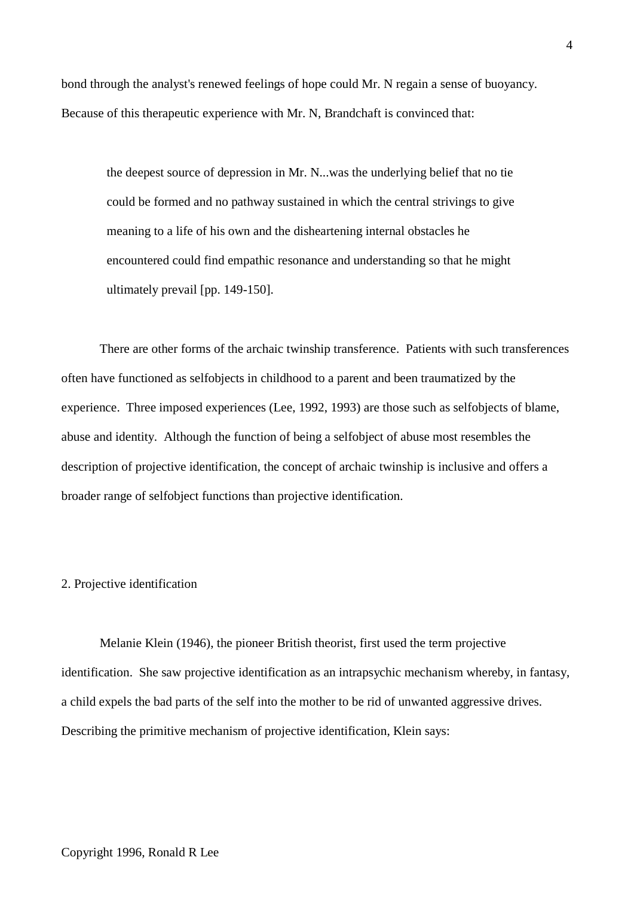bond through the analyst's renewed feelings of hope could Mr. N regain a sense of buoyancy. Because of this therapeutic experience with Mr. N, Brandchaft is convinced that:

the deepest source of depression in Mr. N...was the underlying belief that no tie could be formed and no pathway sustained in which the central strivings to give meaning to a life of his own and the disheartening internal obstacles he encountered could find empathic resonance and understanding so that he might ultimately prevail [pp. 149-150].

There are other forms of the archaic twinship transference. Patients with such transferences often have functioned as selfobjects in childhood to a parent and been traumatized by the experience. Three imposed experiences (Lee, 1992, 1993) are those such as selfobjects of blame, abuse and identity. Although the function of being a selfobject of abuse most resembles the description of projective identification, the concept of archaic twinship is inclusive and offers a broader range of selfobject functions than projective identification.

### 2. Projective identification

Melanie Klein (1946), the pioneer British theorist, first used the term projective identification. She saw projective identification as an intrapsychic mechanism whereby, in fantasy, a child expels the bad parts of the self into the mother to be rid of unwanted aggressive drives. Describing the primitive mechanism of projective identification, Klein says: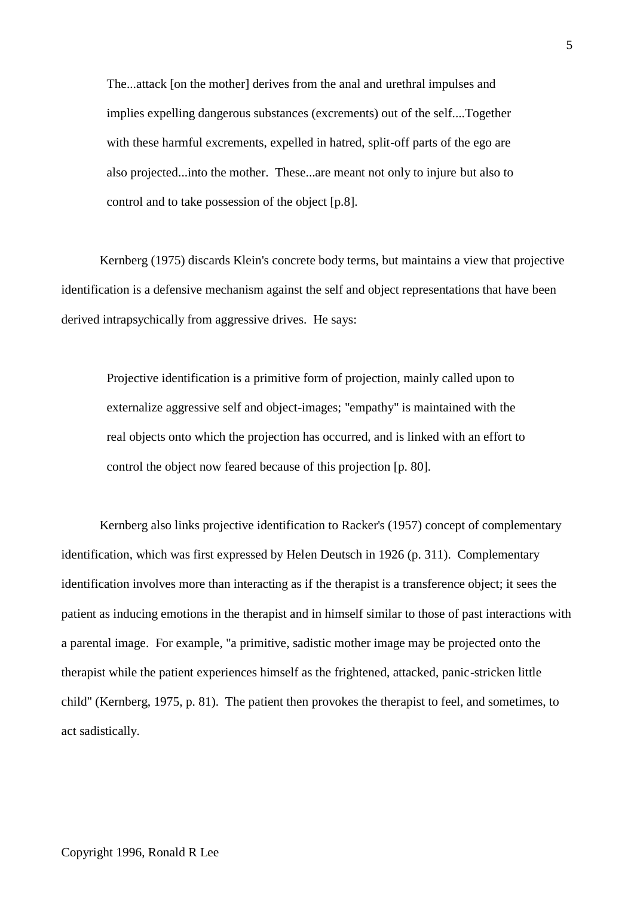The...attack [on the mother] derives from the anal and urethral impulses and implies expelling dangerous substances (excrements) out of the self....Together with these harmful excrements, expelled in hatred, split-off parts of the ego are also projected...into the mother. These...are meant not only to injure but also to control and to take possession of the object [p.8].

Kernberg (1975) discards Klein's concrete body terms, but maintains a view that projective identification is a defensive mechanism against the self and object representations that have been derived intrapsychically from aggressive drives. He says:

Projective identification is a primitive form of projection, mainly called upon to externalize aggressive self and object-images; "empathy" is maintained with the real objects onto which the projection has occurred, and is linked with an effort to control the object now feared because of this projection [p. 80].

Kernberg also links projective identification to Racker's (1957) concept of complementary identification, which was first expressed by Helen Deutsch in 1926 (p. 311). Complementary identification involves more than interacting as if the therapist is a transference object; it sees the patient as inducing emotions in the therapist and in himself similar to those of past interactions with a parental image. For example, "a primitive, sadistic mother image may be projected onto the therapist while the patient experiences himself as the frightened, attacked, panic-stricken little child" (Kernberg, 1975, p. 81). The patient then provokes the therapist to feel, and sometimes, to act sadistically.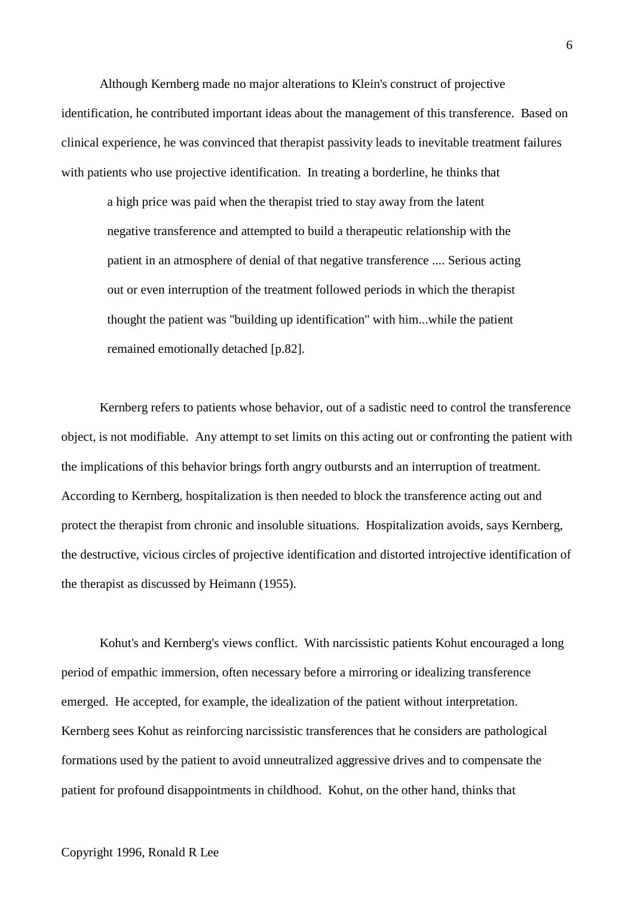Although Kernberg made no major alterations to Klein's construct of projective identification, he contributed important ideas about the management of this transference. Based on clinical experience, he was convinced that therapist passivity leads to inevitable treatment failures with patients who use projective identification. In treating a borderline, he thinks that

a high price was paid when the therapist tried to stay away from the latent negative transference and attempted to build a therapeutic relationship with the patient in an atmosphere of denial of that negative transference .... Serious acting out or even interruption of the treatment followed periods in which the therapist thought the patient was "building up identification" with him...while the patient remained emotionally detached [p.82].

Kernberg refers to patients whose behavior, out of a sadistic need to control the transference object, is not modifiable. Any attempt to set limits on this acting out or confronting the patient with the implications of this behavior brings forth angry outbursts and an interruption of treatment. According to Kernberg, hospitalization is then needed to block the transference acting out and protect the therapist from chronic and insoluble situations. Hospitalization avoids, says Kernberg, the destructive, vicious circles of projective identification and distorted introjective identification of the therapist as discussed by Heimann (1955).

Kohut's and Kernberg's views conflict. With narcissistic patients Kohut encouraged a long period of empathic immersion, often necessary before a mirroring or idealizing transference emerged. He accepted, for example, the idealization of the patient without interpretation. Kernberg sees Kohut as reinforcing narcissistic transferences that he considers are pathological formations used by the patient to avoid unneutralized aggressive drives and to compensate the patient for profound disappointments in childhood. Kohut, on the other hand, thinks that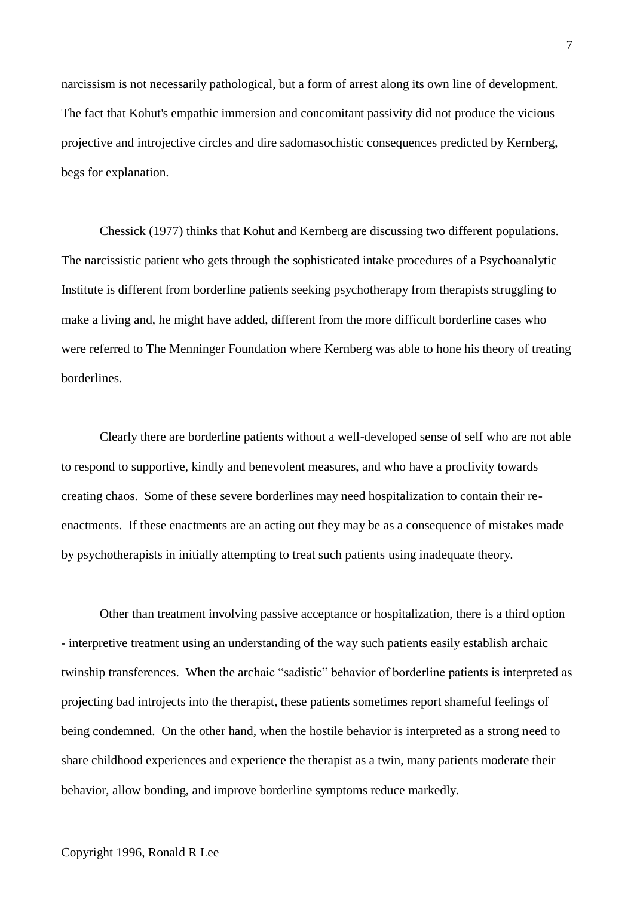narcissism is not necessarily pathological, but a form of arrest along its own line of development. The fact that Kohut's empathic immersion and concomitant passivity did not produce the vicious projective and introjective circles and dire sadomasochistic consequences predicted by Kernberg, begs for explanation.

Chessick (1977) thinks that Kohut and Kernberg are discussing two different populations. The narcissistic patient who gets through the sophisticated intake procedures of a Psychoanalytic Institute is different from borderline patients seeking psychotherapy from therapists struggling to make a living and, he might have added, different from the more difficult borderline cases who were referred to The Menninger Foundation where Kernberg was able to hone his theory of treating borderlines.

Clearly there are borderline patients without a well-developed sense of self who are not able to respond to supportive, kindly and benevolent measures, and who have a proclivity towards creating chaos. Some of these severe borderlines may need hospitalization to contain their reenactments. If these enactments are an acting out they may be as a consequence of mistakes made by psychotherapists in initially attempting to treat such patients using inadequate theory.

Other than treatment involving passive acceptance or hospitalization, there is a third option - interpretive treatment using an understanding of the way such patients easily establish archaic twinship transferences. When the archaic "sadistic" behavior of borderline patients is interpreted as projecting bad introjects into the therapist, these patients sometimes report shameful feelings of being condemned. On the other hand, when the hostile behavior is interpreted as a strong need to share childhood experiences and experience the therapist as a twin, many patients moderate their behavior, allow bonding, and improve borderline symptoms reduce markedly.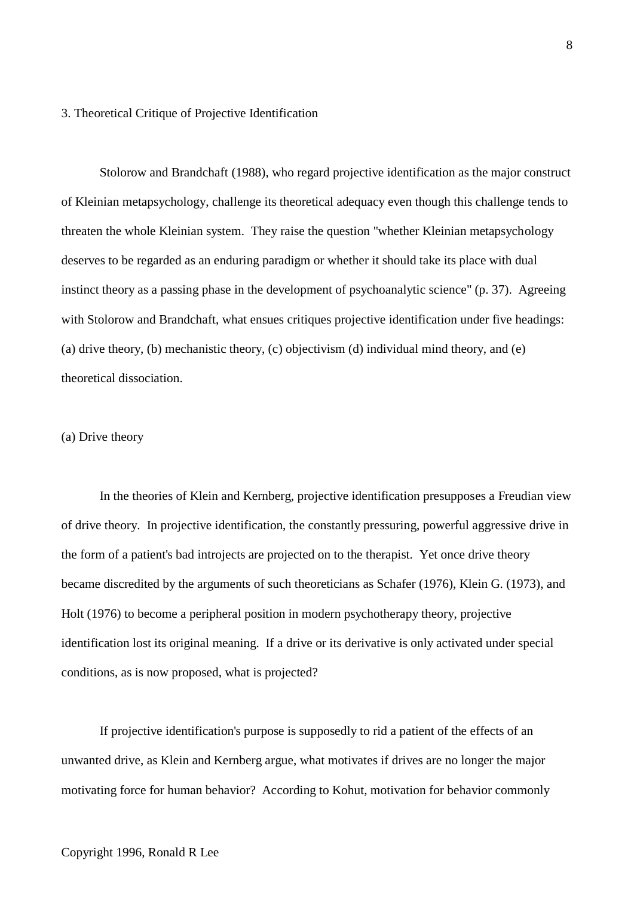## 3. Theoretical Critique of Projective Identification

Stolorow and Brandchaft (1988), who regard projective identification as the major construct of Kleinian metapsychology, challenge its theoretical adequacy even though this challenge tends to threaten the whole Kleinian system. They raise the question "whether Kleinian metapsychology deserves to be regarded as an enduring paradigm or whether it should take its place with dual instinct theory as a passing phase in the development of psychoanalytic science" (p. 37). Agreeing with Stolorow and Brandchaft, what ensues critiques projective identification under five headings: (a) drive theory, (b) mechanistic theory, (c) objectivism (d) individual mind theory, and (e) theoretical dissociation.

## (a) Drive theory

In the theories of Klein and Kernberg, projective identification presupposes a Freudian view of drive theory. In projective identification, the constantly pressuring, powerful aggressive drive in the form of a patient's bad introjects are projected on to the therapist. Yet once drive theory became discredited by the arguments of such theoreticians as Schafer (1976), Klein G. (1973), and Holt (1976) to become a peripheral position in modern psychotherapy theory, projective identification lost its original meaning. If a drive or its derivative is only activated under special conditions, as is now proposed, what is projected?

If projective identification's purpose is supposedly to rid a patient of the effects of an unwanted drive, as Klein and Kernberg argue, what motivates if drives are no longer the major motivating force for human behavior? According to Kohut, motivation for behavior commonly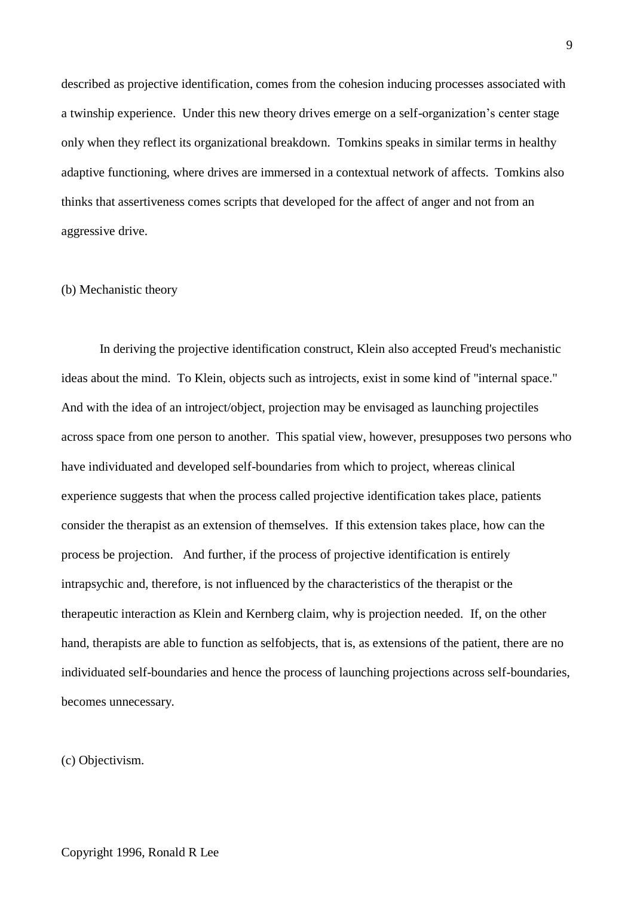described as projective identification, comes from the cohesion inducing processes associated with a twinship experience. Under this new theory drives emerge on a self-organization's center stage only when they reflect its organizational breakdown. Tomkins speaks in similar terms in healthy adaptive functioning, where drives are immersed in a contextual network of affects. Tomkins also thinks that assertiveness comes scripts that developed for the affect of anger and not from an aggressive drive.

## (b) Mechanistic theory

In deriving the projective identification construct, Klein also accepted Freud's mechanistic ideas about the mind. To Klein, objects such as introjects, exist in some kind of "internal space." And with the idea of an introject/object, projection may be envisaged as launching projectiles across space from one person to another. This spatial view, however, presupposes two persons who have individuated and developed self-boundaries from which to project, whereas clinical experience suggests that when the process called projective identification takes place, patients consider the therapist as an extension of themselves. If this extension takes place, how can the process be projection. And further, if the process of projective identification is entirely intrapsychic and, therefore, is not influenced by the characteristics of the therapist or the therapeutic interaction as Klein and Kernberg claim, why is projection needed. If, on the other hand, therapists are able to function as selfobjects, that is, as extensions of the patient, there are no individuated self-boundaries and hence the process of launching projections across self-boundaries, becomes unnecessary.

(c) Objectivism.

9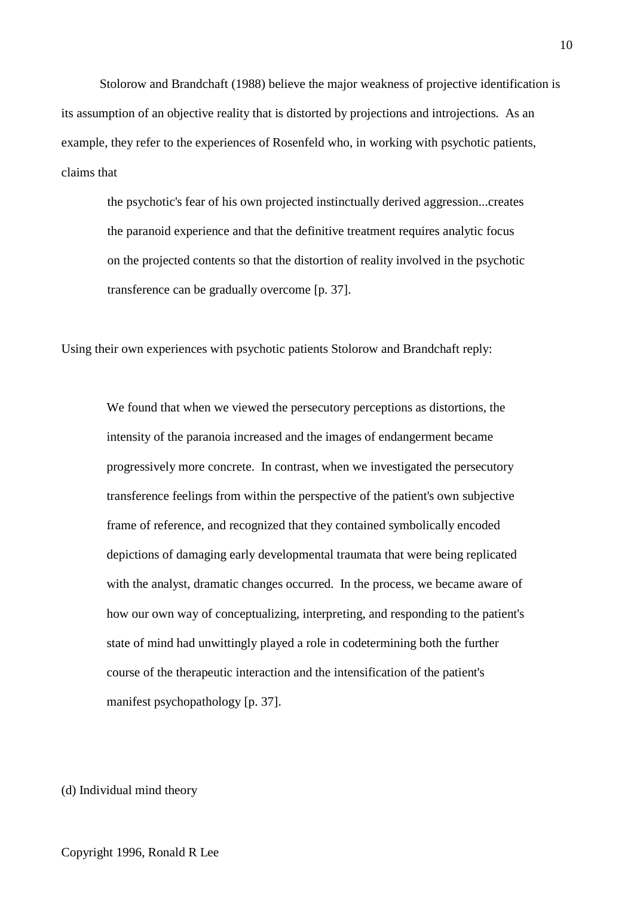Stolorow and Brandchaft (1988) believe the major weakness of projective identification is its assumption of an objective reality that is distorted by projections and introjections. As an example, they refer to the experiences of Rosenfeld who, in working with psychotic patients, claims that

the psychotic's fear of his own projected instinctually derived aggression...creates the paranoid experience and that the definitive treatment requires analytic focus on the projected contents so that the distortion of reality involved in the psychotic transference can be gradually overcome [p. 37].

Using their own experiences with psychotic patients Stolorow and Brandchaft reply:

We found that when we viewed the persecutory perceptions as distortions, the intensity of the paranoia increased and the images of endangerment became progressively more concrete. In contrast, when we investigated the persecutory transference feelings from within the perspective of the patient's own subjective frame of reference, and recognized that they contained symbolically encoded depictions of damaging early developmental traumata that were being replicated with the analyst, dramatic changes occurred. In the process, we became aware of how our own way of conceptualizing, interpreting, and responding to the patient's state of mind had unwittingly played a role in codetermining both the further course of the therapeutic interaction and the intensification of the patient's manifest psychopathology [p. 37].

# (d) Individual mind theory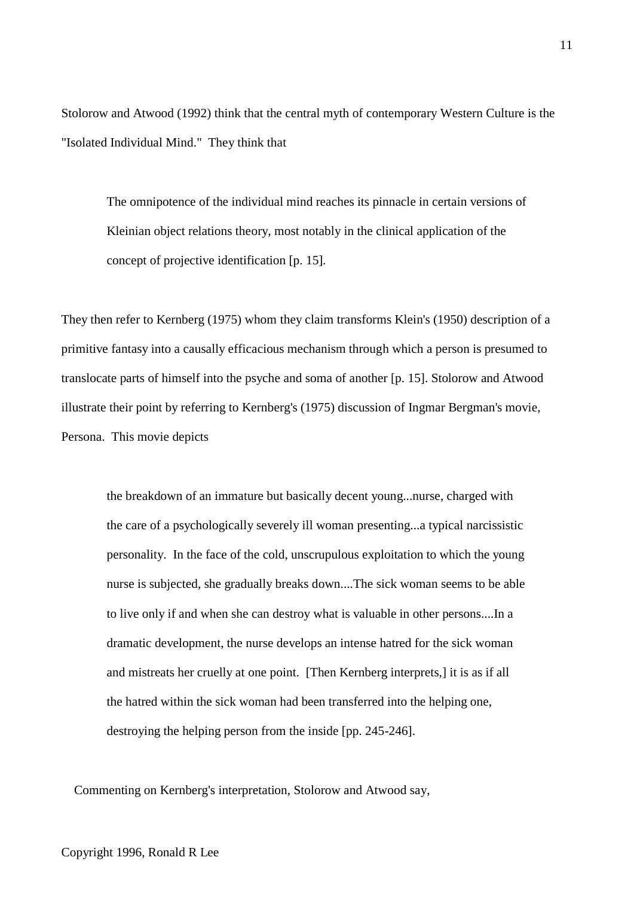Stolorow and Atwood (1992) think that the central myth of contemporary Western Culture is the "Isolated Individual Mind." They think that

The omnipotence of the individual mind reaches its pinnacle in certain versions of Kleinian object relations theory, most notably in the clinical application of the concept of projective identification [p. 15].

They then refer to Kernberg (1975) whom they claim transforms Klein's (1950) description of a primitive fantasy into a causally efficacious mechanism through which a person is presumed to translocate parts of himself into the psyche and soma of another [p. 15]. Stolorow and Atwood illustrate their point by referring to Kernberg's (1975) discussion of Ingmar Bergman's movie, Persona. This movie depicts

the breakdown of an immature but basically decent young...nurse, charged with the care of a psychologically severely ill woman presenting...a typical narcissistic personality. In the face of the cold, unscrupulous exploitation to which the young nurse is subjected, she gradually breaks down....The sick woman seems to be able to live only if and when she can destroy what is valuable in other persons....In a dramatic development, the nurse develops an intense hatred for the sick woman and mistreats her cruelly at one point. [Then Kernberg interprets,] it is as if all the hatred within the sick woman had been transferred into the helping one, destroying the helping person from the inside [pp. 245-246].

Commenting on Kernberg's interpretation, Stolorow and Atwood say,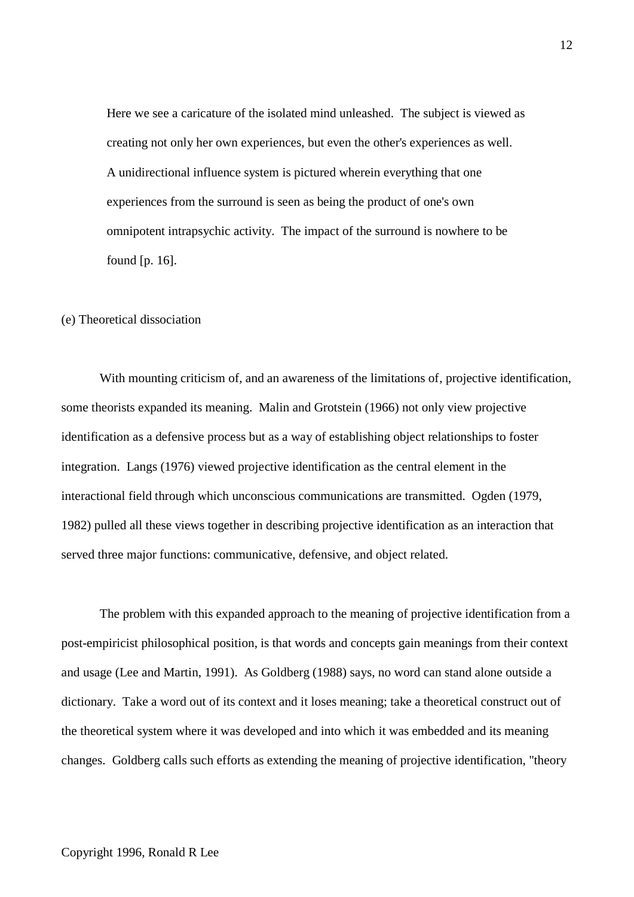Here we see a caricature of the isolated mind unleashed. The subject is viewed as creating not only her own experiences, but even the other's experiences as well. A unidirectional influence system is pictured wherein everything that one experiences from the surround is seen as being the product of one's own omnipotent intrapsychic activity. The impact of the surround is nowhere to be found [p. 16].

### (e) Theoretical dissociation

With mounting criticism of, and an awareness of the limitations of, projective identification, some theorists expanded its meaning. Malin and Grotstein (1966) not only view projective identification as a defensive process but as a way of establishing object relationships to foster integration. Langs (1976) viewed projective identification as the central element in the interactional field through which unconscious communications are transmitted. Ogden (1979, 1982) pulled all these views together in describing projective identification as an interaction that served three major functions: communicative, defensive, and object related.

The problem with this expanded approach to the meaning of projective identification from a post-empiricist philosophical position, is that words and concepts gain meanings from their context and usage (Lee and Martin, 1991). As Goldberg (1988) says, no word can stand alone outside a dictionary. Take a word out of its context and it loses meaning; take a theoretical construct out of the theoretical system where it was developed and into which it was embedded and its meaning changes. Goldberg calls such efforts as extending the meaning of projective identification, "theory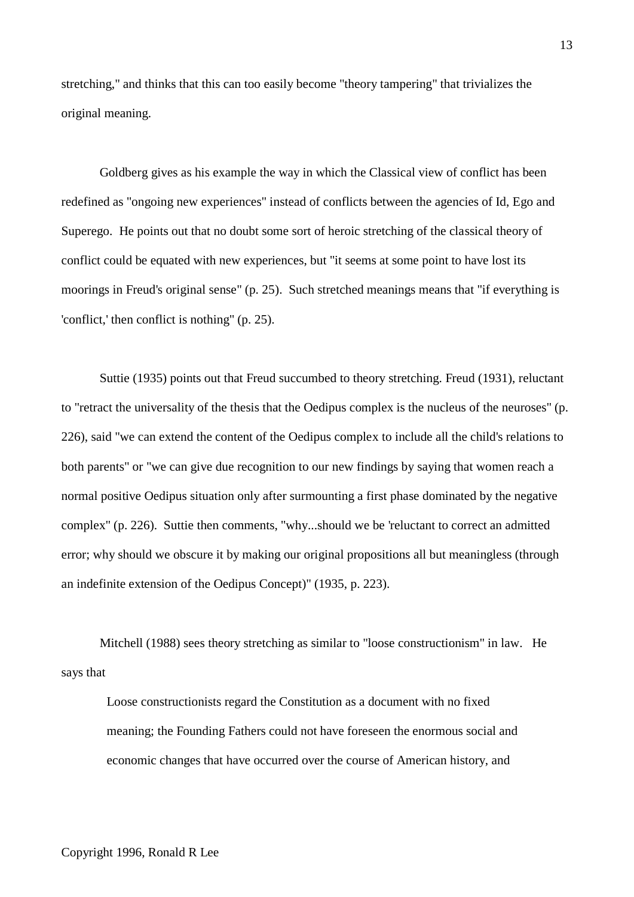stretching," and thinks that this can too easily become "theory tampering" that trivializes the original meaning.

Goldberg gives as his example the way in which the Classical view of conflict has been redefined as "ongoing new experiences" instead of conflicts between the agencies of Id, Ego and Superego. He points out that no doubt some sort of heroic stretching of the classical theory of conflict could be equated with new experiences, but "it seems at some point to have lost its moorings in Freud's original sense" (p. 25). Such stretched meanings means that "if everything is 'conflict,' then conflict is nothing" (p. 25).

Suttie (1935) points out that Freud succumbed to theory stretching. Freud (1931), reluctant to "retract the universality of the thesis that the Oedipus complex is the nucleus of the neuroses" (p. 226), said "we can extend the content of the Oedipus complex to include all the child's relations to both parents" or "we can give due recognition to our new findings by saying that women reach a normal positive Oedipus situation only after surmounting a first phase dominated by the negative complex" (p. 226). Suttie then comments, "why...should we be 'reluctant to correct an admitted error; why should we obscure it by making our original propositions all but meaningless (through an indefinite extension of the Oedipus Concept)" (1935, p. 223).

Mitchell (1988) sees theory stretching as similar to "loose constructionism" in law. He says that

Loose constructionists regard the Constitution as a document with no fixed meaning; the Founding Fathers could not have foreseen the enormous social and economic changes that have occurred over the course of American history, and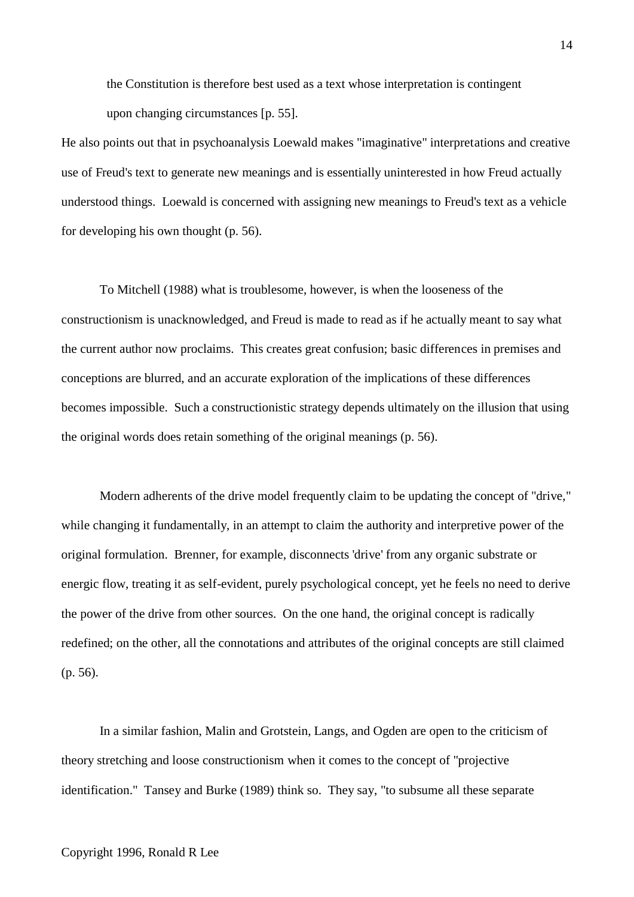the Constitution is therefore best used as a text whose interpretation is contingent upon changing circumstances [p. 55].

He also points out that in psychoanalysis Loewald makes "imaginative" interpretations and creative use of Freud's text to generate new meanings and is essentially uninterested in how Freud actually understood things. Loewald is concerned with assigning new meanings to Freud's text as a vehicle for developing his own thought (p. 56).

To Mitchell (1988) what is troublesome, however, is when the looseness of the constructionism is unacknowledged, and Freud is made to read as if he actually meant to say what the current author now proclaims. This creates great confusion; basic differences in premises and conceptions are blurred, and an accurate exploration of the implications of these differences becomes impossible. Such a constructionistic strategy depends ultimately on the illusion that using the original words does retain something of the original meanings (p. 56).

Modern adherents of the drive model frequently claim to be updating the concept of "drive," while changing it fundamentally, in an attempt to claim the authority and interpretive power of the original formulation. Brenner, for example, disconnects 'drive' from any organic substrate or energic flow, treating it as self-evident, purely psychological concept, yet he feels no need to derive the power of the drive from other sources. On the one hand, the original concept is radically redefined; on the other, all the connotations and attributes of the original concepts are still claimed (p. 56).

In a similar fashion, Malin and Grotstein, Langs, and Ogden are open to the criticism of theory stretching and loose constructionism when it comes to the concept of "projective identification." Tansey and Burke (1989) think so. They say, "to subsume all these separate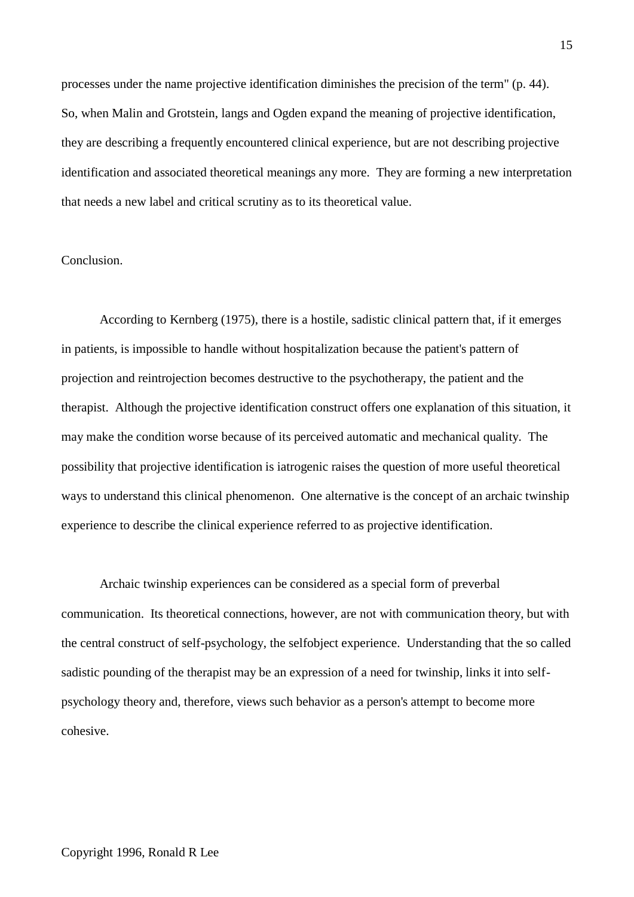processes under the name projective identification diminishes the precision of the term" (p. 44). So, when Malin and Grotstein, langs and Ogden expand the meaning of projective identification, they are describing a frequently encountered clinical experience, but are not describing projective identification and associated theoretical meanings any more. They are forming a new interpretation that needs a new label and critical scrutiny as to its theoretical value.

# Conclusion.

According to Kernberg (1975), there is a hostile, sadistic clinical pattern that, if it emerges in patients, is impossible to handle without hospitalization because the patient's pattern of projection and reintrojection becomes destructive to the psychotherapy, the patient and the therapist. Although the projective identification construct offers one explanation of this situation, it may make the condition worse because of its perceived automatic and mechanical quality. The possibility that projective identification is iatrogenic raises the question of more useful theoretical ways to understand this clinical phenomenon. One alternative is the concept of an archaic twinship experience to describe the clinical experience referred to as projective identification.

Archaic twinship experiences can be considered as a special form of preverbal communication. Its theoretical connections, however, are not with communication theory, but with the central construct of self-psychology, the selfobject experience. Understanding that the so called sadistic pounding of the therapist may be an expression of a need for twinship, links it into selfpsychology theory and, therefore, views such behavior as a person's attempt to become more cohesive.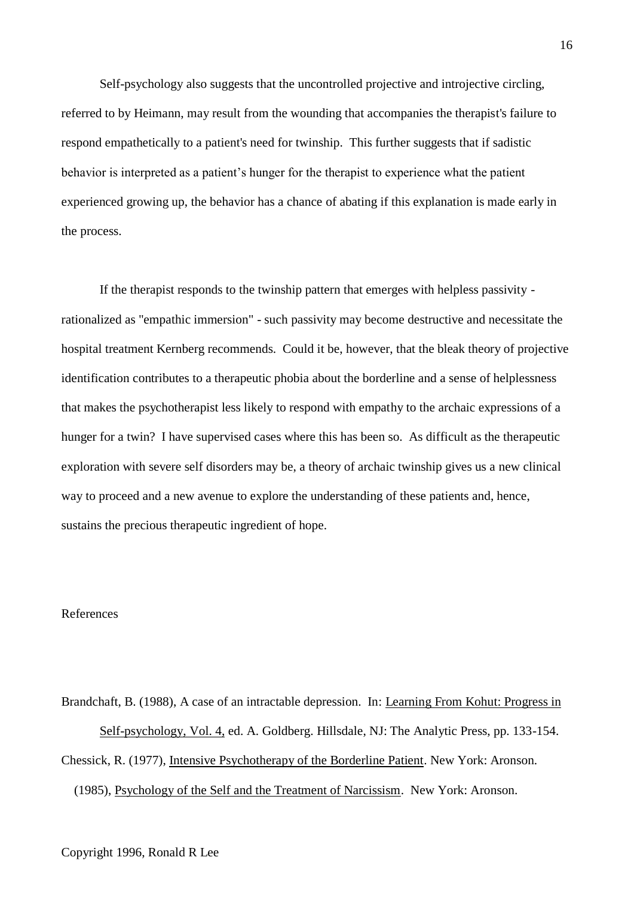Self-psychology also suggests that the uncontrolled projective and introjective circling, referred to by Heimann, may result from the wounding that accompanies the therapist's failure to respond empathetically to a patient's need for twinship. This further suggests that if sadistic behavior is interpreted as a patient's hunger for the therapist to experience what the patient experienced growing up, the behavior has a chance of abating if this explanation is made early in the process.

If the therapist responds to the twinship pattern that emerges with helpless passivity rationalized as "empathic immersion" - such passivity may become destructive and necessitate the hospital treatment Kernberg recommends. Could it be, however, that the bleak theory of projective identification contributes to a therapeutic phobia about the borderline and a sense of helplessness that makes the psychotherapist less likely to respond with empathy to the archaic expressions of a hunger for a twin? I have supervised cases where this has been so. As difficult as the therapeutic exploration with severe self disorders may be, a theory of archaic twinship gives us a new clinical way to proceed and a new avenue to explore the understanding of these patients and, hence, sustains the precious therapeutic ingredient of hope.

# References

Brandchaft, B. (1988), A case of an intractable depression. In: Learning From Kohut: Progress in Self-psychology, Vol. 4, ed. A. Goldberg. Hillsdale, NJ: The Analytic Press, pp. 133-154. Chessick, R. (1977), Intensive Psychotherapy of the Borderline Patient. New York: Aronson. (1985), Psychology of the Self and the Treatment of Narcissism. New York: Aronson.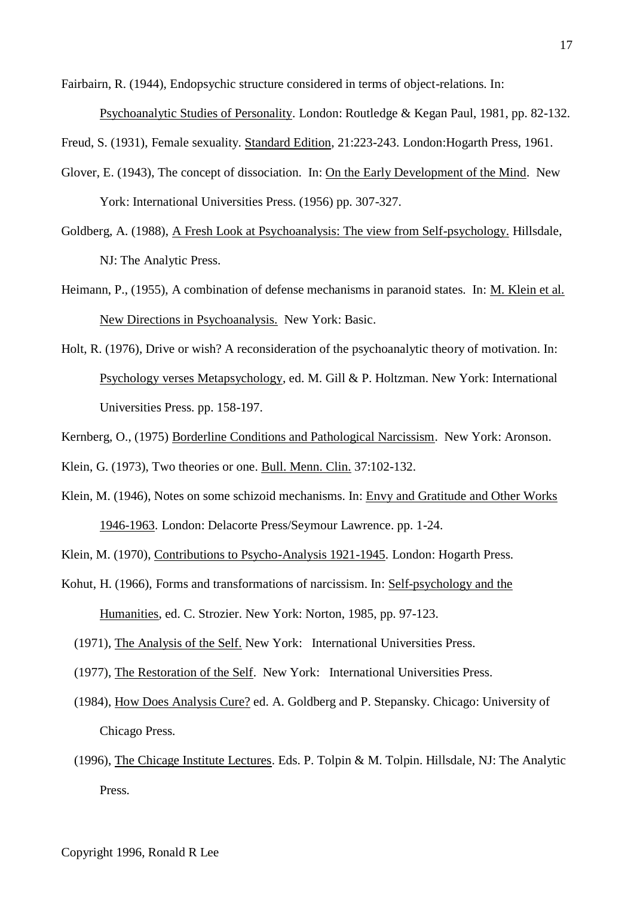Fairbairn, R. (1944), Endopsychic structure considered in terms of object-relations. In:

Psychoanalytic Studies of Personality. London: Routledge & Kegan Paul, 1981, pp. 82-132.

Freud, S. (1931), Female sexuality. Standard Edition, 21:223-243. London:Hogarth Press, 1961.

- Glover, E. (1943), The concept of dissociation. In: On the Early Development of the Mind. New York: International Universities Press. (1956) pp. 307-327.
- Goldberg, A. (1988), A Fresh Look at Psychoanalysis: The view from Self-psychology. Hillsdale, NJ: The Analytic Press.
- Heimann, P., (1955), A combination of defense mechanisms in paranoid states. In: M. Klein et al. New Directions in Psychoanalysis. New York: Basic.
- Holt, R. (1976), Drive or wish? A reconsideration of the psychoanalytic theory of motivation. In: Psychology verses Metapsychology, ed. M. Gill & P. Holtzman. New York: International Universities Press. pp. 158-197.

Kernberg, O., (1975) Borderline Conditions and Pathological Narcissism. New York: Aronson.

Klein, G. (1973), Two theories or one. Bull. Menn. Clin. 37:102-132.

Klein, M. (1946), Notes on some schizoid mechanisms. In: Envy and Gratitude and Other Works 1946-1963. London: Delacorte Press/Seymour Lawrence. pp. 1-24.

Klein, M. (1970), Contributions to Psycho-Analysis 1921-1945. London: Hogarth Press.

- Kohut, H. (1966), Forms and transformations of narcissism. In: Self-psychology and the Humanities, ed. C. Strozier. New York: Norton, 1985, pp. 97-123.
	- (1971), The Analysis of the Self. New York: International Universities Press.
	- (1977), The Restoration of the Self. New York: International Universities Press.
	- (1984), How Does Analysis Cure? ed. A. Goldberg and P. Stepansky. Chicago: University of Chicago Press.
	- (1996), The Chicage Institute Lectures. Eds. P. Tolpin & M. Tolpin. Hillsdale, NJ: The Analytic Press.